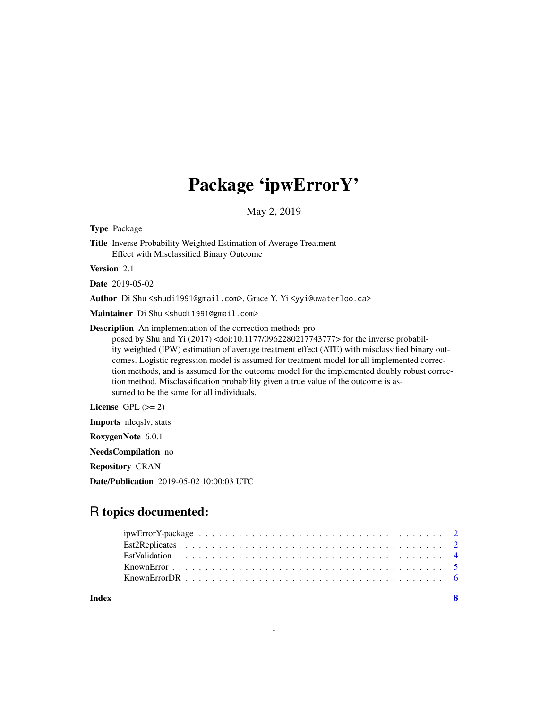# Package 'ipwErrorY'

May 2, 2019

Type Package

Title Inverse Probability Weighted Estimation of Average Treatment Effect with Misclassified Binary Outcome

Version 2.1

Date 2019-05-02

Author Di Shu <shudi1991@gmail.com>, Grace Y. Yi <yyi@uwaterloo.ca>

Maintainer Di Shu <shudi1991@gmail.com>

Description An implementation of the correction methods pro-

posed by Shu and Yi (2017) <doi:10.1177/0962280217743777> for the inverse probability weighted (IPW) estimation of average treatment effect (ATE) with misclassified binary outcomes. Logistic regression model is assumed for treatment model for all implemented correction methods, and is assumed for the outcome model for the implemented doubly robust correction method. Misclassification probability given a true value of the outcome is assumed to be the same for all individuals.

License GPL  $(>= 2)$ 

Imports nleqslv, stats

RoxygenNote 6.0.1

NeedsCompilation no

Repository CRAN

Date/Publication 2019-05-02 10:00:03 UTC

# R topics documented:

| Index | - 8 |  |
|-------|-----|--|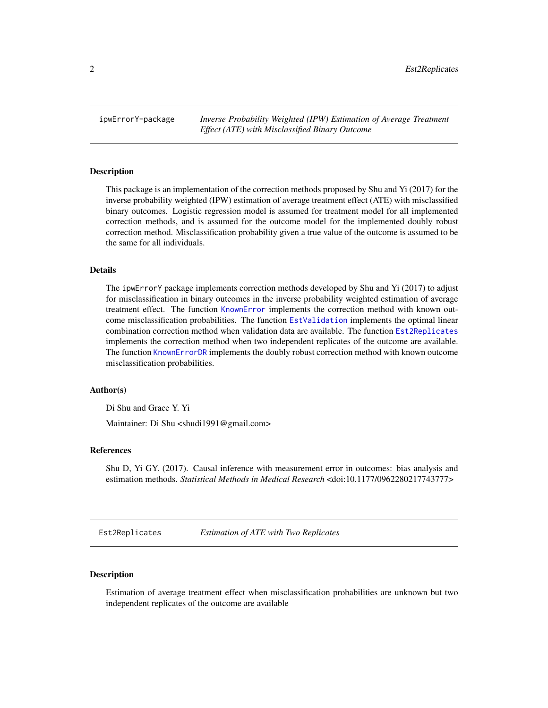<span id="page-1-0"></span>ipwErrorY-package *Inverse Probability Weighted (IPW) Estimation of Average Treatment Effect (ATE) with Misclassified Binary Outcome*

#### Description

This package is an implementation of the correction methods proposed by Shu and Yi (2017) for the inverse probability weighted (IPW) estimation of average treatment effect (ATE) with misclassified binary outcomes. Logistic regression model is assumed for treatment model for all implemented correction methods, and is assumed for the outcome model for the implemented doubly robust correction method. Misclassification probability given a true value of the outcome is assumed to be the same for all individuals.

#### Details

The ipwErrorY package implements correction methods developed by Shu and Yi (2017) to adjust for misclassification in binary outcomes in the inverse probability weighted estimation of average treatment effect. The function [KnownError](#page-4-1) implements the correction method with known outcome misclassification probabilities. The function [EstValidation](#page-3-1) implements the optimal linear combination correction method when validation data are available. The function [Est2Replicates](#page-1-1) implements the correction method when two independent replicates of the outcome are available. The function [KnownErrorDR](#page-5-1) implements the doubly robust correction method with known outcome misclassification probabilities.

#### Author(s)

Di Shu and Grace Y. Yi

Maintainer: Di Shu <shudi1991@gmail.com>

#### References

Shu D, Yi GY. (2017). Causal inference with measurement error in outcomes: bias analysis and estimation methods. *Statistical Methods in Medical Research* <doi:10.1177/0962280217743777>

<span id="page-1-1"></span>Est2Replicates *Estimation of ATE with Two Replicates*

#### Description

Estimation of average treatment effect when misclassification probabilities are unknown but two independent replicates of the outcome are available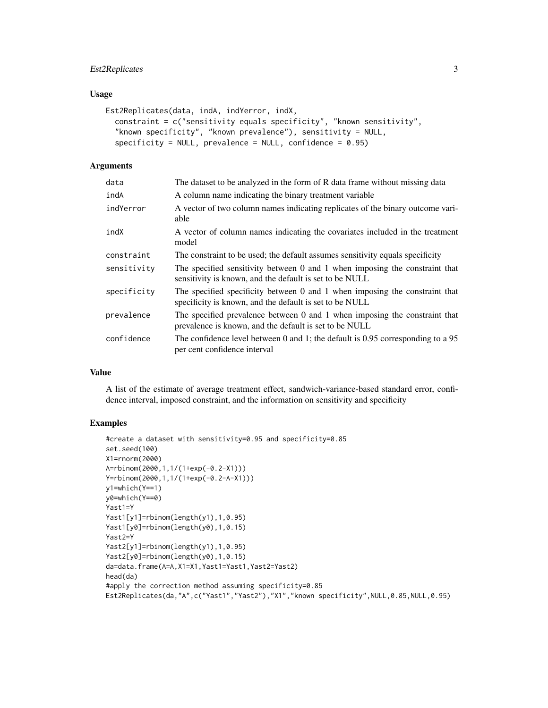# Est2Replicates 3

#### Usage

```
Est2Replicates(data, indA, indYerror, indX,
  constraint = c("sensitivity equals specificity", "known sensitivity",
  "known specificity", "known prevalence"), sensitivity = NULL,
  specificity = NULL, prevalence = NULL, confidence = 0.95)
```
#### Arguments

| data        | The dataset to be analyzed in the form of R data frame without missing data                                                            |
|-------------|----------------------------------------------------------------------------------------------------------------------------------------|
| indA        | A column name indicating the binary treatment variable                                                                                 |
| indYerror   | A vector of two column names indicating replicates of the binary outcome vari-<br>able                                                 |
| indX        | A vector of column names indicating the covariates included in the treatment<br>model                                                  |
| constraint  | The constraint to be used; the default assumes sensitivity equals specificity                                                          |
| sensitivity | The specified sensitivity between 0 and 1 when imposing the constraint that<br>sensitivity is known, and the default is set to be NULL |
| specificity | The specified specificity between 0 and 1 when imposing the constraint that<br>specificity is known, and the default is set to be NULL |
| prevalence  | The specified prevalence between 0 and 1 when imposing the constraint that<br>prevalence is known, and the default is set to be NULL   |
| confidence  | The confidence level between $0$ and 1; the default is 0.95 corresponding to a 95<br>per cent confidence interval                      |

#### Value

A list of the estimate of average treatment effect, sandwich-variance-based standard error, confidence interval, imposed constraint, and the information on sensitivity and specificity

# Examples

```
#create a dataset with sensitivity=0.95 and specificity=0.85
set.seed(100)
X1=rnorm(2000)
A=rbinom(2000,1,1/(1+exp(-0.2-X1)))
Y=rbinom(2000,1,1/(1+exp(-0.2-A-X1)))
y1=which(Y==1)
y0=which(Y==0)
Yast1=Y
Yast1[y1]=rbinom(length(y1),1,0.95)
Yast1[y0]=rbinom(length(y0),1,0.15)
Yast2=Y
Yast2[y1]=rbinom(length(y1),1,0.95)
Yast2[y0]=rbinom(length(y0),1,0.15)
da=data.frame(A=A,X1=X1,Yast1=Yast1,Yast2=Yast2)
head(da)
#apply the correction method assuming specificity=0.85
Est2Replicates(da,"A",c("Yast1","Yast2"),"X1","known specificity",NULL,0.85,NULL,0.95)
```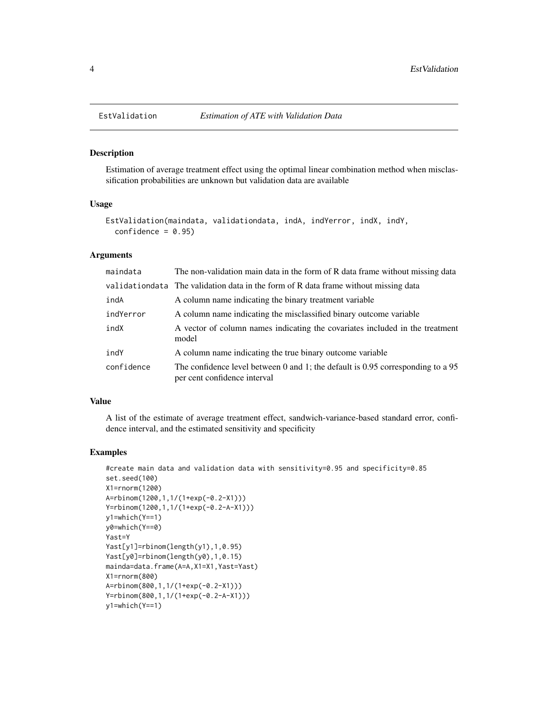#### Description

Estimation of average treatment effect using the optimal linear combination method when misclassification probabilities are unknown but validation data are available

#### Usage

```
EstValidation(maindata, validationdata, indA, indYerror, indX, indY,
  confidence = 0.95
```
# Arguments

| maindata   | The non-validation main data in the form of R data frame without missing data                                     |
|------------|-------------------------------------------------------------------------------------------------------------------|
|            | validation data The validation data in the form of R data frame without missing data                              |
| indA       | A column name indicating the binary treatment variable                                                            |
| indYerror  | A column name indicating the misclassified binary outcome variable                                                |
| indX       | A vector of column names indicating the covariates included in the treatment<br>model                             |
| indY       | A column name indicating the true binary outcome variable                                                         |
| confidence | The confidence level between 0 and 1; the default is 0.95 corresponding to a $95$<br>per cent confidence interval |

#### Value

A list of the estimate of average treatment effect, sandwich-variance-based standard error, confidence interval, and the estimated sensitivity and specificity

#### Examples

```
#create main data and validation data with sensitivity=0.95 and specificity=0.85
set.seed(100)
X1=rnorm(1200)
A=rbinom(1200,1,1/(1+exp(-0.2-X1)))
Y=rbinom(1200,1,1/(1+exp(-0.2-A-X1)))
y1=which(Y==1)
y0=which(Y==0)
Yast=Y
Yast[y1]=rbinom(length(y1),1,0.95)
Yast[y0]=rbinom(length(y0),1,0.15)
mainda=data.frame(A=A,X1=X1,Yast=Yast)
X1=rnorm(800)
A=rbinom(800,1,1/(1+exp(-0.2-X1)))
Y=rbinom(800,1,1/(1+exp(-0.2-A-X1)))
y1=which(Y==1)
```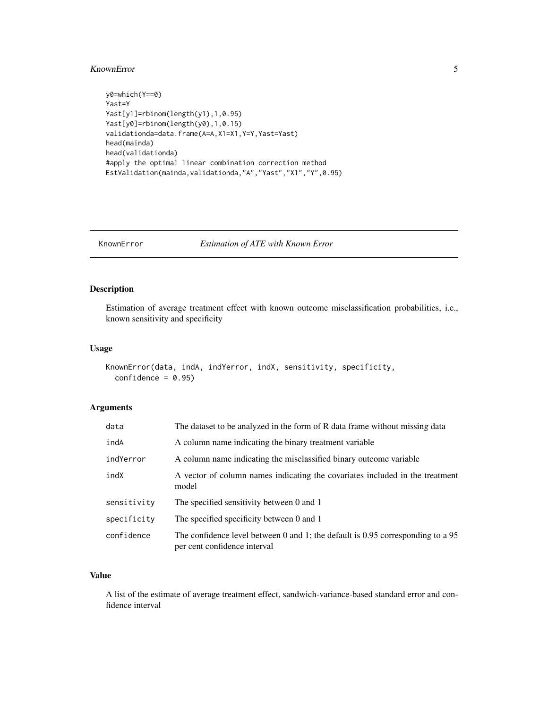#### <span id="page-4-0"></span>KnownError 5

```
y0=which(Y==0)
Yast=Y
Yast[y1]=rbinom(length(y1),1,0.95)
Yast[y0]=rbinom(length(y0),1,0.15)
validationda=data.frame(A=A,X1=X1,Y=Y,Yast=Yast)
head(mainda)
head(validationda)
#apply the optimal linear combination correction method
EstValidation(mainda,validationda,"A","Yast","X1","Y",0.95)
```
<span id="page-4-1"></span>KnownError *Estimation of ATE with Known Error*

# Description

Estimation of average treatment effect with known outcome misclassification probabilities, i.e., known sensitivity and specificity

#### Usage

```
KnownError(data, indA, indYerror, indX, sensitivity, specificity,
  confidence = 0.95)
```
# Arguments

| data        | The dataset to be analyzed in the form of R data frame without missing data                                     |
|-------------|-----------------------------------------------------------------------------------------------------------------|
| indA        | A column name indicating the binary treatment variable                                                          |
| indYerror   | A column name indicating the misclassified binary outcome variable                                              |
| indX        | A vector of column names indicating the covariates included in the treatment<br>model                           |
| sensitivity | The specified sensitivity between 0 and 1                                                                       |
| specificity | The specified specificity between 0 and 1                                                                       |
| confidence  | The confidence level between 0 and 1; the default is 0.95 corresponding to a 95<br>per cent confidence interval |

#### Value

A list of the estimate of average treatment effect, sandwich-variance-based standard error and confidence interval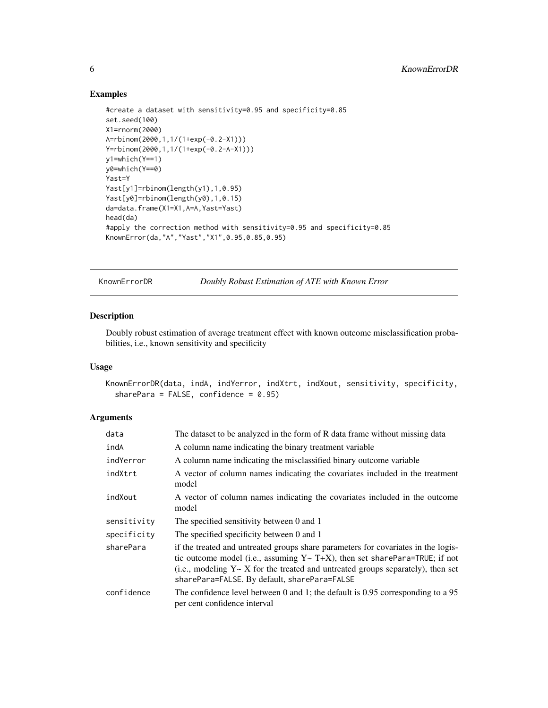#### Examples

```
#create a dataset with sensitivity=0.95 and specificity=0.85
set.seed(100)
X1=rnorm(2000)
A=rbinom(2000,1,1/(1+exp(-0.2-X1)))
Y=rbinom(2000,1,1/(1+exp(-0.2-A-X1)))
y1=which(Y==1)
y0=which(Y==0)
Yast=Y
Yast[y1]=rbinom(length(y1),1,0.95)
Yast[y0]=rbinom(length(y0),1,0.15)
da=data.frame(X1=X1,A=A,Yast=Yast)
head(da)
#apply the correction method with sensitivity=0.95 and specificity=0.85
KnownError(da,"A","Yast","X1",0.95,0.85,0.95)
```
<span id="page-5-1"></span>KnownErrorDR *Doubly Robust Estimation of ATE with Known Error*

# Description

Doubly robust estimation of average treatment effect with known outcome misclassification probabilities, i.e., known sensitivity and specificity

#### Usage

KnownErrorDR(data, indA, indYerror, indXtrt, indXout, sensitivity, specificity, sharePara = FALSE, confidence =  $0.95$ )

#### Arguments

| data        | The dataset to be analyzed in the form of R data frame without missing data                                                                                                                                                                                                                                     |
|-------------|-----------------------------------------------------------------------------------------------------------------------------------------------------------------------------------------------------------------------------------------------------------------------------------------------------------------|
| indA        | A column name indicating the binary treatment variable                                                                                                                                                                                                                                                          |
| indYerror   | A column name indicating the misclassified binary outcome variable                                                                                                                                                                                                                                              |
| indXtrt     | A vector of column names indicating the covariates included in the treatment<br>model                                                                                                                                                                                                                           |
| indXout     | A vector of column names indicating the covariates included in the outcome<br>model                                                                                                                                                                                                                             |
| sensitivity | The specified sensitivity between 0 and 1                                                                                                                                                                                                                                                                       |
| specificity | The specified specificity between 0 and 1                                                                                                                                                                                                                                                                       |
| sharePara   | if the treated and untreated groups share parameters for covariates in the logis-<br>tic outcome model (i.e., assuming $Y \sim T+X$ ), then set sharePara=TRUE; if not<br>(i.e., modeling $Y \sim X$ for the treated and untreated groups separately), then set<br>sharePara=FALSE. By default, sharePara=FALSE |
| confidence  | The confidence level between $0$ and $1$ ; the default is 0.95 corresponding to a 95<br>per cent confidence interval                                                                                                                                                                                            |

<span id="page-5-0"></span>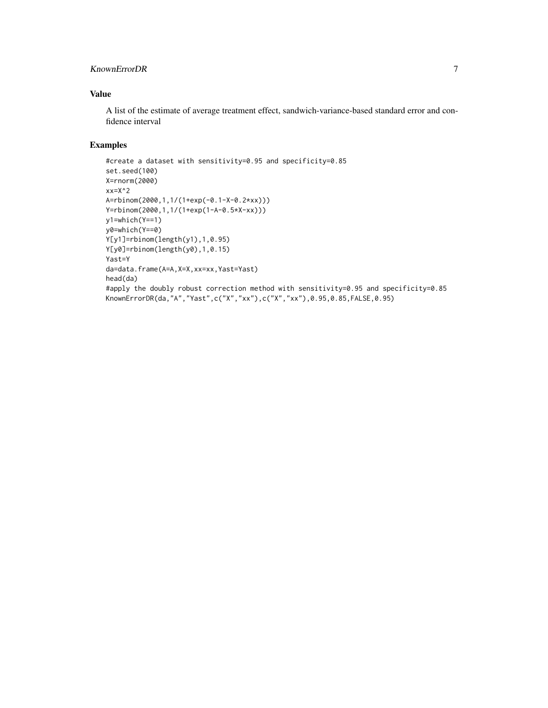# KnownErrorDR 7

# Value

A list of the estimate of average treatment effect, sandwich-variance-based standard error and confidence interval

# Examples

```
#create a dataset with sensitivity=0.95 and specificity=0.85
set.seed(100)
X=rnorm(2000)
xx=X^2A=rbinom(2000,1,1/(1+exp(-0.1-X-0.2*xx)))
Y=rbinom(2000,1,1/(1+exp(1-A-0.5*X-xx)))
y1=which(Y==1)
y0=which(Y==0)
Y[y1]=rbinom(length(y1),1,0.95)
Y[y0]=rbinom(length(y0),1,0.15)
Yast=Y
da=data.frame(A=A,X=X,xx=xx,Yast=Yast)
head(da)
#apply the doubly robust correction method with sensitivity=0.95 and specificity=0.85
KnownErrorDR(da,"A","Yast",c("X","xx"),c("X","xx"),0.95,0.85,FALSE,0.95)
```